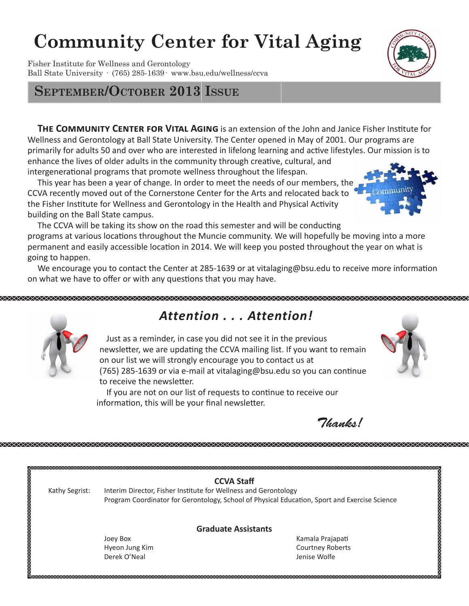# **Community Center for Vital Aging**

Fisher Institute for Wellness and Gerontology Ball State University · (765) 285-1639· www.bsu.edu/wellness/ccva

# **September/October 2013 Issue**

XXXXXXXXXXXXXXXXXX

**THE COMMUNITY CENTER FOR VITAL AGING** is an extension of the John and Janice Fisher Institute for Wellness and Gerontology at Ball State University. The Center opened in May of 2001. Our programs are primarily for adults 50 and over who are interested in lifelong learning and active lifestyles. Our mission is to enhance the lives of older adults in the community through creative, cultural, and intergenerational programs that promote wellness throughout the lifespan.

 This year has been a year of change. In order to meet the needs of our members, the CCVA recently moved out of the Cornerstone Center for the Arts and relocated back to the Fisher Institute for Wellness and Gerontology in the Health and Physical Activity building on the Ball State campus.

 The CCVA will be taking its show on the road this semester and will be conducting programs at various locations throughout the Muncie community. We will hopefully be moving into a more permanent and easily accessible location in 2014. We will keep you posted throughout the year on what is going to happen.

 We encourage you to contact the Center at 285-1639 or at vitalaging@bsu.edu to receive more information on what we have to offer or with any questions that you may have.



# *Attention . . . Attention!*

 Just as a reminder, in case you did not see it in the previous newsletter, we are updating the CCVA mailing list. If you want to remain on our list we will strongly encourage you to contact us at (765) 285-1639 or via e-mail at vitalaging@bsu.edu so you can continue to receive the newsletter.

 If you are not on our list of requests to continue to receive our information, this will be your final newsletter.

*Thanks!*

|                |                                                                 | <b>CCVA Staff</b>                                                                             |
|----------------|-----------------------------------------------------------------|-----------------------------------------------------------------------------------------------|
| Kathy Segrist: | Interim Director, Fisher Institute for Wellness and Gerontology |                                                                                               |
|                |                                                                 | Program Coordinator for Gerontology, School of Physical Education, Sport and Exercise Science |
|                |                                                                 | <b>Graduate Assistants</b>                                                                    |
|                | Joey Box                                                        | Kamala Prajapati                                                                              |
|                | Hyeon Jung Kim                                                  | Courtney Roberts                                                                              |
|                | Derek O'Neal                                                    | Jenise Wolfe                                                                                  |





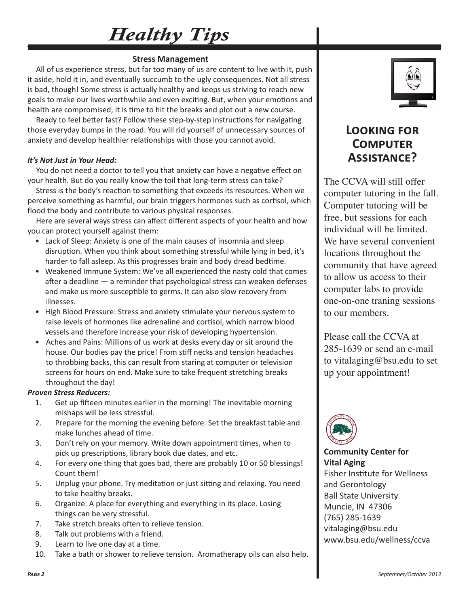# *Healthy Tips*

### **Stress Management**

 All of us experience stress, but far too many of us are content to live with it, push it aside, hold it in, and eventually succumb to the ugly consequences. Not all stress is bad, though! Some stress is actually healthy and keeps us striving to reach new goals to make our lives worthwhile and even exciting. But, when your emotions and health are compromised, it is time to hit the breaks and plot out a new course.

 Ready to feel better fast? Follow these step-by-step instructions for navigating those everyday bumps in the road. You will rid yourself of unnecessary sources of anxiety and develop healthier relationships with those you cannot avoid.

#### *It's Not Just in Your Head:*

 You do not need a doctor to tell you that anxiety can have a negative effect on your health. But do you really know the toil that long-term stress can take?

 Stress is the body's reaction to something that exceeds its resources. When we perceive something as harmful, our brain triggers hormones such as cortisol, which flood the body and contribute to various physical responses.

 Here are several ways stress can affect different aspects of your health and how you can protect yourself against them:

- Lack of Sleep: Anxiety is one of the main causes of insomnia and sleep disruption. When you think about something stressful while lying in bed, it's harder to fall asleep. As this progresses brain and body dread bedtime.
- Weakened Immune System: We've all experienced the nasty cold that comes after a deadline — a reminder that psychological stress can weaken defenses and make us more susceptible to germs. It can also slow recovery from illnesses.
- High Blood Pressure: Stress and anxiety stimulate your nervous system to raise levels of hormones like adrenaline and cortisol, which narrow blood vessels and therefore increase your risk of developing hypertension.
- Aches and Pains: Millions of us work at desks every day or sit around the house. Our bodies pay the price! From stiff necks and tension headaches to throbbing backs, this can result from staring at computer or television screens for hours on end. Make sure to take frequent stretching breaks throughout the day!

#### *Proven Stress Reducers:*

- 1. Get up fifteen minutes earlier in the morning! The inevitable morning mishaps will be less stressful.
- 2. Prepare for the morning the evening before. Set the breakfast table and make lunches ahead of time.
- 3. Don't rely on your memory. Write down appointment times, when to pick up prescriptions, library book due dates, and etc.
- 4. For every one thing that goes bad, there are probably 10 or 50 blessings! Count them!
- 5. Unplug your phone. Try meditation or just sitting and relaxing. You need to take healthy breaks.
- 6. Organize. A place for everything and everything in its place. Losing things can be very stressful.
- 7. Take stretch breaks often to relieve tension.
- 8. Talk out problems with a friend.
- 9. Learn to live one day at a time.
- 10. Take a bath or shower to relieve tension. Aromatherapy oils can also help.



## **Looking for Computer Assistance?**

The CCVA will still offer computer tutoring in the fall. Computer tutoring will be free, but sessions for each individual will be limited. We have several convenient locations throughout the community that have agreed to allow us access to their computer labs to provide one-on-one traning sessions to our members.

Please call the CCVA at 285-1639 or send an e-mail to vitalaging@bsu.edu to set up your appointment!



**Community Center for Vital Aging** Fisher Institute for Wellness and Gerontology Ball State University Muncie, IN 47306 (765) 285-1639 vitalaging@bsu.edu www.bsu.edu/wellness/ccva